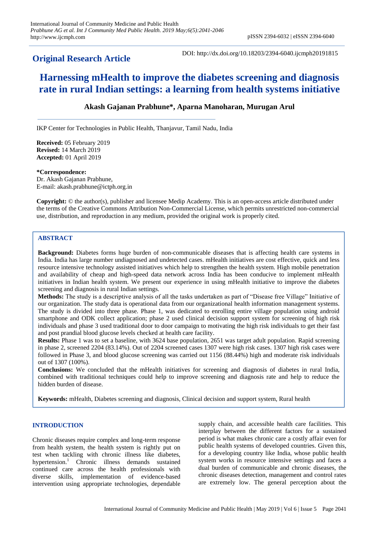# **Original Research Article**

DOI: http://dx.doi.org/10.18203/2394-6040.ijcmph20191815

# **Harnessing mHealth to improve the diabetes screening and diagnosis rate in rural Indian settings: a learning from health systems initiative**

# **Akash Gajanan Prabhune\*, Aparna Manoharan, Murugan Arul**

IKP Center for Technologies in Public Health, Thanjavur, Tamil Nadu, India

**Received:** 05 February 2019 **Revised:** 14 March 2019 **Accepted:** 01 April 2019

**\*Correspondence:** Dr. Akash Gajanan Prabhune, E-mail: akash.prabhune@ictph.org.in

**Copyright:** © the author(s), publisher and licensee Medip Academy. This is an open-access article distributed under the terms of the Creative Commons Attribution Non-Commercial License, which permits unrestricted non-commercial use, distribution, and reproduction in any medium, provided the original work is properly cited.

# **ABSTRACT**

**Background:** Diabetes forms huge burden of non-communicable diseases that is affecting health care systems in India. India has large number undiagnosed and undetected cases. mHealth initiatives are cost effective, quick and less resource intensive technology assisted initiatives which help to strengthen the health system. High mobile penetration and availability of cheap and high-speed data network across India has been conducive to implement mHealth initiatives in Indian health system. We present our experience in using mHealth initiative to improve the diabetes screening and diagnosis in rural Indian settings.

**Methods:** The study is a descriptive analysis of all the tasks undertaken as part of "Disease free Village" Initiative of our organization. The study data is operational data from our organizational health information management systems. The study is divided into three phase. Phase 1, was dedicated to enrolling entire village population using android smartphone and ODK collect application; phase 2 used clinical decision support system for screening of high risk individuals and phase 3 used traditional door to door campaign to motivating the high risk individuals to get their fast and post prandial blood glucose levels checked at health care facility.

**Results:** Phase 1 was to set a baseline, with 3624 base population, 2651 was target adult population. Rapid screening in phase 2, screened 2204 (83.14%). Out of 2204 screened cases 1307 were high risk cases. 1307 high risk cases were followed in Phase 3, and blood glucose screening was carried out 1156 (88.44%) high and moderate risk individuals out of 1307 (100%).

**Conclusions:** We concluded that the mHealth initiatives for screening and diagnosis of diabetes in rural India, combined with traditional techniques could help to improve screening and diagnosis rate and help to reduce the hidden burden of disease.

**Keywords:** mHealth, Diabetes screening and diagnosis, Clinical decision and support system, Rural health

#### **INTRODUCTION**

Chronic diseases require complex and long-term response from health system, the health system is rightly put on test when tackling with chronic illness like diabetes, hypertension.<sup>1</sup> Chronic illness demands sustained continued care across the health professionals with diverse skills, implementation of evidence-based intervention using appropriate technologies, dependable supply chain, and accessible health care facilities. This interplay between the different factors for a sustained period is what makes chronic care a costly affair even for public health systems of developed countries. Given this, for a developing country like India, whose public health system works in resource intensive settings and faces a dual burden of communicable and chronic diseases, the chronic diseases detection, management and control rates are extremely low. The general perception about the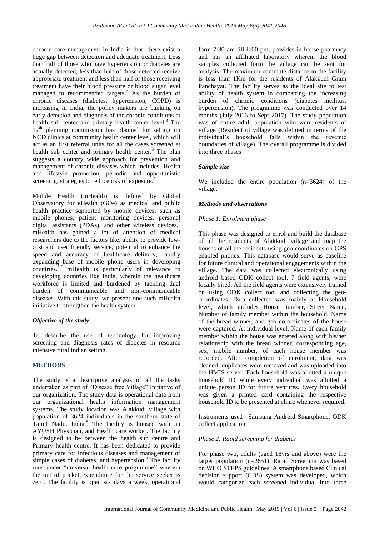chronic care management in India is that, there exist a huge gap between detection and adequate treatment. Less than half of those who have hypertension or diabetes are actually detected, less than half of those detected receive appropriate treatment and less than half of those receiving treatment have their blood pressure or blood sugar level managed to recommended targets.<sup>2</sup> As the burden of chronic diseases (diabetes, hypertension, COPD) is increasing in India, the policy makers are banking on early detection and diagnosis of the chronic conditions at health sub center and primary health center level. <sup>3</sup> The  $12<sup>th</sup>$  planning commission has planned for setting up NCD clinics at community health center level, which will act as an first referral units for all the cases screened at health sub center and primary health center.<sup>4</sup> The plan suggests a country wide approach for prevention and management of chronic diseases which includes, Health and lifestyle promotion, periodic and opportunistic screening, strategies to reduce risk of exposure. $\frac{3}{5}$ 

Mobile Health (mHealth) is defined by Global Observatory for eHealth (GOe) as medical and public health practice supported by mobile devices, such as mobile phones, patient monitoring devices, personal digital assistants (PDAs), and other wireless devices.<sup>5</sup> mHealth has gained a lot of attention of medical researchers due to the factors like, ability to provide lowcost and user friendly service, potential to enhance the speed and accuracy of healthcare delivery, rapidly expanding base of mobile phone users in developing countries.6,7 mHealth is particularly of relevance to developing countries like India, wherein the healthcare workforce is limited and burdened by tackling dual burden of communicable and non-communicable diseases. With this study, we present one such mHealth initiative to strengthen the health system.

#### *Objective of the study*

To describe the use of technology for improving screening and diagnosis rates of diabetes in resource intensive rural Indian setting.

#### **METHODS**

The study is a descriptive analysis of all the tasks undertaken as part of "Disease free Village" Initiative of our organization. The study data is operational data from our organizational health information management systems. The study location was Alakkudi village with population of 3624 individuals in the southern state of Tamil Nadu, India.<sup>8</sup> The facility is housed with an AYUSH Physician, and Health care worker. The facility is designed to be between the health sub centre and Primary health centre. It has been dedicated to provide primary care for infectious diseases and management of simple cases of diabetes, and hypertension.<sup>9</sup> The facility runs under "universal health care programme" wherein the out of pocket expenditure for the service seeker is zero. The facility is open six days a week, operational form 7:30 am till 6:00 pm, provides in house pharmacy and has an affiliated laboratory wherein the blood samples collected form the village can be sent for analysis. The maximum commute distance to the facility is less than 1Km for the residents of Alakkudi Gram Panchayat. The facility serves as the ideal site to test ability of health system in combatting the increasing burden of chronic conditions (diabetes mellitus, hypertension). The programme was conducted over 14 months (July 2016 to Sept 2017). The study population was of entire adult population who were residents of village (Resident of village was defined in terms of the individual"s household falls within the revenue boundaries of village). The overall programme is divided into three phases

#### *Sample size*

We included the entire population (n=3624) of the village.

#### *Methods and observations*

#### *Phase 1: Enrolment phase*

This phase was designed to enrol and build the database of all the residents of Alakkudi village and map the houses of all the residents using geo coordinates on GPS enabled phones. This database would serve as baseline for future clinical and operational engagements within the village. The data was collected electronically using android based ODK collect tool. 7 field agents, were locally hired. All the field agents were extensively trained on using ODK collect tool and collecting the geocoordinates. Data collected was mainly at Household level, which includes House number, Street Name, Number of family member within the household, Name of the bread winner, and geo co-ordinates of the house were captured. At individual level, Name of each family member within the house was entered along with his/her relationship with the bread winner, corresponding age, sex, mobile number, of each house member was recorded. After completion of enrolment, data was cleaned; duplicates were removed and was uploaded into the HMIS server. Each household was allotted a unique household ID while every individual was allotted a unique person ID for future ventures. Every household was given a printed card containing the respective household ID to be presented at clinic whenever required.

Instruments used– Samsung Android Smartphone, ODK collect application.

#### *Phase 2: Rapid screening for diabetes*

For phase two, adults (aged 18yrs and above) were the target population (n=2651). Rapid Screening was based on WHO STEPS guidelines. A smartphone based Clinical decision support (CDS) system was developed, which would categorize each screened individual into three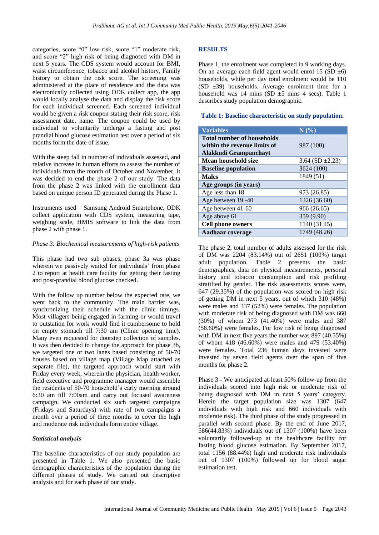categories, score "0" low risk, score "1" moderate risk, and score "2" high risk of being diagnosed with DM in next 5 years. The CDS system would account for BMI, waist circumference, tobacco and alcohol history, Family history to obtain the risk score. The screening was administered at the place of residence and the data was electronically collected using ODK collect app, the app would locally analyse the data and display the risk score for each individual screened. Each screened individual would be given a risk coupon stating their risk score, risk assessment date, name. The coupon could be used by individual to voluntarily undergo a fasting and post prandial blood glucose estimation test over a period of six months form the date of issue.

With the steep fall in number of individuals assessed, and relative increase in human efforts to assess the number of individuals from the month of October and November, it was decided to end the phase 2 of our study. The data from the phase 2 was linked with the enrollment data based on unique person ID generated during the Phase 1.

Instruments used – Samsung Android Smartphone, ODK collect application with CDS system, measuring tape, weighing scale, HMIS software to link the data from phase 2 with phase 1.

#### *Phase 3: Biochemical measurements of high-risk patients*

This phase had two sub phases, phase 3a was phase wherein we passively waited for individuals' from phase 2 to report at health care facility for getting their fasting and post-prandial blood glucose checked.

With the follow up number below the expected rate, we went back to the community. The main barrier was, synchronizing their schedule with the clinic timings. Most villagers being engaged in farming or would travel to outstation for work would find it cumbersome to hold on empty stomach till 7:30 am (Clinic opening time). Many even requested for doorstep collection of samples. It was then decided to change the approach for phase 3b, we targeted one or two lanes based consisting of 50-70 houses based on village map (Village Map attached as separate file), the targeted approach would start with Friday every week, wherein the physician, health worker, field executive and programme manager would assemble the residents of 50-70 household's early morning around 6:30 am till 7:00am and carry out focused awareness campaign. We conducted six such targeted campaigns (Fridays and Saturdays) with rate of two campaigns a month over a period of three months to cover the high and moderate risk individuals form entire village.

#### *Statistical analysis*

The baseline characteristics of our study population are presented in Table 1. We also presented the basic demographic characteristics of the population during the different phases of study. We carried out descriptive analysis and for each phase of our study.

## **RESULTS**

Phase 1, the enrolment was completed in 9 working days. On an average each field agent would enrol 15 (SD  $\pm$ 6) households, while per day total enrolment would be 110 (SD ±39) households. Average enrolment time for a household was 14 mins (SD  $\pm$ 5 mins 4 secs). Table 1 describes study population demographic.

## **Table 1: Baseline characteristic on study population.**

| <b>Variables</b>                                                                           | N(%)                  |
|--------------------------------------------------------------------------------------------|-----------------------|
| <b>Total number of households</b><br>within the revenue limits of<br>Alakkudi Grampanchayt | 987 (100)             |
| Mean household size                                                                        | 3.64 (SD $\pm 2.23$ ) |
| <b>Baseline population</b>                                                                 | 3624 (100)            |
| <b>Males</b>                                                                               | 1849 (51)             |
| Age groups (in years)                                                                      |                       |
| Age less than 18                                                                           | 973 (26.85)           |
| Age between 19 -40                                                                         | 1326 (36.60)          |
| Age between 41-60                                                                          | 966 (26.65)           |
| Age above 61                                                                               | 359 (9.90)            |
| <b>Cell phone owners</b>                                                                   | 1140 (31.45)          |
| Aadhaar coverage                                                                           | 1749 (48.26)          |

The phase 2, total number of adults assessed for the risk of DM was 2204 (83.14%) out of 2651 (100%) target adult population. Table 2 presents the basic demographics, data on physical measurements, personal history and tobacco consumption and risk profiling stratified by gender. The risk assessments scores were, 647 (29.35%) of the population was scored on high risk of getting DM in next 5 years, out of which 310 (48%) were males and 337 (52%) were females. The population with moderate risk of being diagnosed with DM was 660 (30%) of whom 273 (41.40%) were males and 387 (58.60%) were females. For low risk of being diagnosed with DM in next five years the number was 897 (40.55%) of whom 418 (46.60%) were males and 479 (53.40%) were females. Total 236 human days invested were invested by seven field agents over the span of five months for phase 2.

Phase 3 - We anticipated at-least 50% follow-up from the individuals scored into high risk or moderate risk of being diagnosed with DM in next 5 years' category. Herein the target population size was 1307 (647 individuals with high risk and 660 individuals with moderate risk). The third phase of the study progressed in parallel with second phase. By the end of June 2017, 586(44.83%) individuals out of 1307 (100%) have been voluntarily followed-up at the healthcare facility for fasting blood glucose estimation. By September 2017, total 1156 (88.44%) high and moderate risk individuals out of 1307 (100%) followed up for blood sugar estimation test.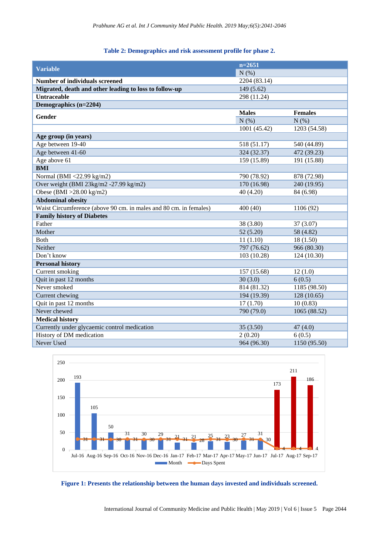#### **Table 2: Demographics and risk assessment profile for phase 2.**

| <b>Variable</b>                                                   | $n=2651$     |                |
|-------------------------------------------------------------------|--------------|----------------|
|                                                                   | N(%)         |                |
| <b>Number of individuals screened</b>                             | 2204 (83.14) |                |
| Migrated, death and other leading to loss to follow-up            | 149 (5.62)   |                |
| <b>Untraceable</b>                                                | 298 (11.24)  |                |
| Demographics (n=2204)                                             |              |                |
| <b>Gender</b>                                                     | <b>Males</b> | <b>Females</b> |
|                                                                   | N(%)         | N(% )          |
|                                                                   | 1001 (45.42) | 1203 (54.58)   |
| Age group (in years)                                              |              |                |
| Age between 19-40                                                 | 518 (51.17)  | 540 (44.89)    |
| Age between 41-60                                                 | 324 (32.37)  | 472 (39.23)    |
| Age above 61                                                      | 159 (15.89)  | 191 (15.88)    |
| <b>BMI</b>                                                        |              |                |
| Normal (BMI <22.99 kg/m2)                                         | 790 (78.92)  | 878 (72.98)    |
| Over weight (BMI 23kg/m2 -27.99 kg/m2)                            | 170 (16.98)  | 240 (19.95)    |
| Obese (BMI >28.00 kg/m2)                                          | 40 (4.20)    | 84 (6.98)      |
| <b>Abdominal obesity</b>                                          |              |                |
| Waist Circumference (above 90 cm. in males and 80 cm. in females) | 400 (40)     | 1106 (92)      |
| <b>Family history of Diabetes</b>                                 |              |                |
| Father                                                            | 38 (3.80)    | 37 (3.07)      |
| Mother                                                            | 52(5.20)     | 58 (4.82)      |
| <b>Both</b>                                                       | 11(1.10)     | 18 (1.50)      |
| Neither                                                           | 797 (76.62)  | 966 (80.30)    |
| Don't know                                                        | 103 (10.28)  | 124 (10.30)    |
| <b>Personal history</b>                                           |              |                |
| Current smoking                                                   | 157 (15.68)  | 12(1.0)        |
| Quit in past 12 months                                            | 30(3.0)      | 6(0.5)         |
| Never smoked                                                      | 814 (81.32)  | 1185 (98.50)   |
| Current chewing                                                   | 194 (19.39)  | 128 (10.65)    |
| Quit in past 12 months                                            | 17(1.70)     | 10(0.83)       |
| Never chewed                                                      | 790 (79.0)   | 1065 (88.52)   |
| <b>Medical history</b>                                            |              |                |
| Currently under glycaemic control medication                      | 35(3.50)     | 47(4.0)        |
| History of DM medication                                          | 2(0.20)      | 6(0.5)         |
| Never Used                                                        | 964 (96.30)  | 1150 (95.50)   |



# **Figure 1: Presents the relationship between the human days invested and individuals screened.**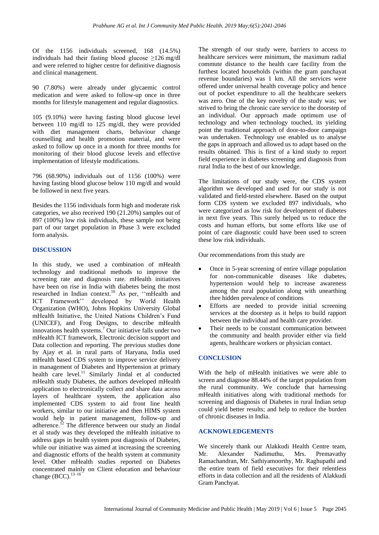Of the 1156 individuals screened, 168 (14.5%) individuals had their fasting blood glucose  $\geq$ 126 mg/dl and were referred to higher centre for definitive diagnosis and clinical management.

90 (7.80%) were already under glycaemic control medication and were asked to follow-up once in three months for lifestyle management and regular diagnostics.

105 (9.10%) were having fasting blood glucose level between 110 mg/dl to 125 mg/dl, they were provided with diet management charts, behaviour change counselling and health promotion material, and were asked to follow up once in a month for three months for monitoring of their blood glucose levels and effective implementation of lifestyle modifications.

796 (68.90%) individuals out of 1156 (100%) were having fasting blood glucose below 110 mg/dl and would be followed in next five years.

Besides the 1156 individuals form high and moderate risk categories, we also received 190 (21.20%) samples out of 897 (100%) low risk individuals, these sample not being part of our target population in Phase 3 were excluded form analysis.

#### **DISCUSSION**

In this study, we used a combination of mHealth technology and traditional methods to improve the screening rate and diagnosis rate. mHealth initiatives have been on rise in India with diabetes being the most researched in Indian context.<sup>10</sup> As per, "mHealth and ICT Framework"" developed by World Health Organization (WHO), Johns Hopkins University Global mHealth Initiative, the United Nations Children"s Fund (UNICEF), and Frog Designs, to describe mHealth innovations health systems.<sup>7</sup> Our initiative falls under two mHealth ICT framework, Electronic decision support and Data collection and reporting. The previous studies done by Ajay et al. in rural parts of Haryana, India used mHealth based CDS system to improve service delivery in management of Diabetes and Hypertension at primary health care level. $\frac{11}{11}$  Similarly Jindal et al conducted mHealth study Diabetes, the authors developed mHealth application to electronically collect and share data across layers of healthcare system, the application also implemented CDS system to aid front line health workers, similar to our initiative and then HIMS system would help in patient management, follow-up and adherence.<sup>12</sup> The difference between our study an Jindal et al study was they developed the mHealth initiative to address gaps in health system post diagnosis of Diabetes, while our initiative was aimed at increasing the screening and diagnostic efforts of the health system at community level. Other mHealth studies reported on Diabetes concentrated mainly on Client education and behaviour change (BCC).<sup>13–16</sup>

The strength of our study were, barriers to access to healthcare services were minimum, the maximum radial commute distance to the health care facility from the furthest located households (within the gram panchayat revenue boundaries) was 1 km. All the services were offered under universal health coverage policy and hence out of pocket expenditure to all the healthcare seekers was zero. One of the key novelty of the study was; we strived to bring the chronic care service to the doorstep of an individual. Our approach made optimum use of technology and when technology touched, its yielding point the traditional approach of door-to-door campaign was undertaken. Technology use enabled us to analyse the gaps in approach and allowed us to adapt based on the results obtained. This is first of a kind study to report field experience in diabetes screening and diagnosis from rural India to the best of our knowledge.

The limitations of our study were, the CDS system algorithm we developed and used for our study is not validated and field-tested elsewhere. Based on the output form CDS system we excluded 897 individuals, who were categorized as low risk for development of diabetes in next five years. This surely helped us to reduce the costs and human efforts, but some efforts like use of point of care diagnostic could have been used to screen these low risk individuals.

Our recommendations from this study are

- Once in 5-year screening of entire village population for non-communicable diseases like diabetes, hypertension would help to increase awareness among the rural population along with unearthing thee hidden prevalence of conditions
- Efforts are needed to provide initial screening services at the doorstep as it helps to build rapport between the individual and health care provider.
- Their needs to be constant communication between the community and health provider either via field agents, healthcare workers or physician contact.

#### **CONCLUSION**

With the help of mHealth initiatives we were able to screen and diagnose 88.44% of the target population from the rural community. We conclude that harnessing mHealth initiatives along with traditional methods for screening and diagnosis of Diabetes in rural Indian setup could yield better results; and help to reduce the burden of chronic diseases in India.

#### **ACKNOWLEDGEMENTS**

We sincerely thank our Alakkudi Health Centre team, Mr. Alexander Nadimuthu, Mrs. Premavathy Ramachandran, Mr. Sathiyamoorthy, Mr. Raghupathi and the entire team of field executives for their relentless efforts in data collection and all the residents of Alakkudi Gram Panchyat.